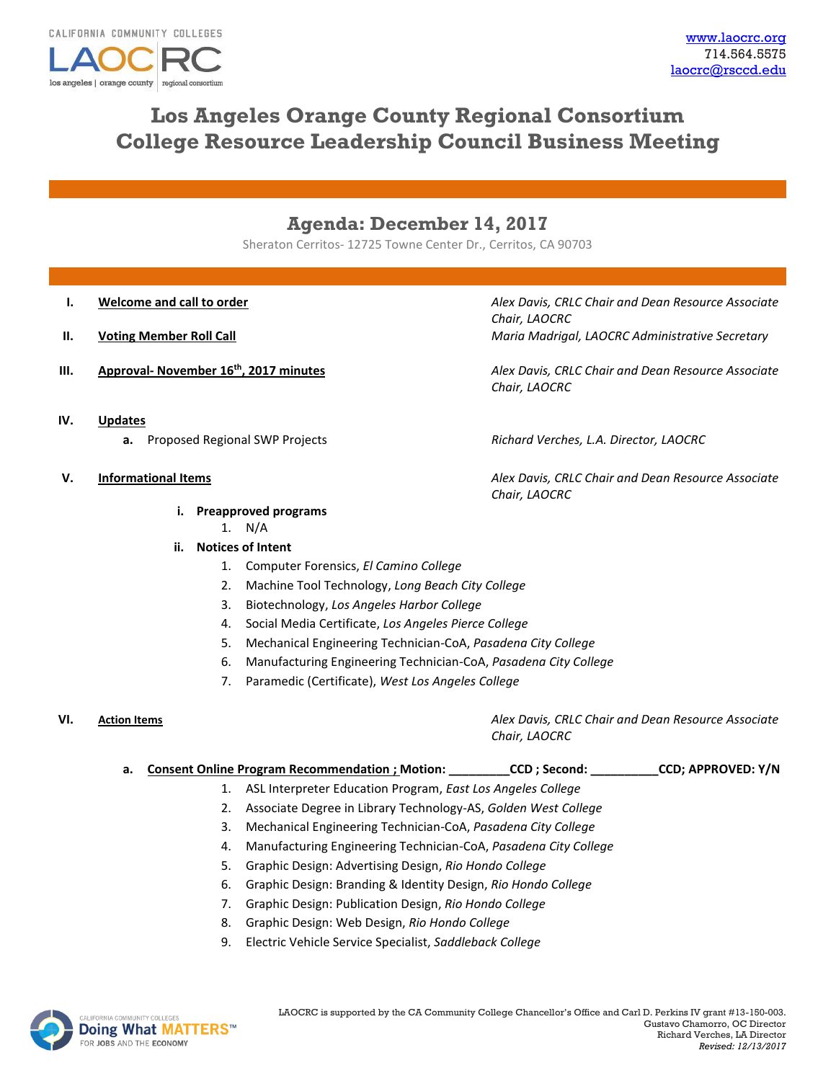

# **Los Angeles Orange County Regional Consortium College Resource Leadership Council Business Meeting**

## **Agenda: December 14, 2017**

Sheraton Cerritos- 12725 Towne Center Dr., Cerritos, CA 90703

- 
- 
- 

**I. Welcome and call to order** *Alex Davis, CRLC Chair and Dean Resource Associate Chair, LAOCRC* **II. Voting Member Roll Call Maria Madrigal, LAOCRC Administrative Secretary** *Maria Madrigal, LAOCRC Administrative Secretary* 

**III. Approval- November 16th, 2017 minutes** *Alex Davis, CRLC Chair and Dean Resource Associate Chair, LAOCRC*

- **IV. Updates**
	- **a.** Proposed Regional SWP Projects *Richard Verches, L.A. Director, LAOCRC*

## **V. Informational Items** *Alex Davis, CRLC Chair and Dean Resource Associate*

## **i. Preapproved programs**

1. N/A

- **ii. Notices of Intent**
	- 1. Computer Forensics, *El Camino College*
	- 2. Machine Tool Technology, *Long Beach City College*
	- 3. Biotechnology, *Los Angeles Harbor College*
	- 4. Social Media Certificate, *Los Angeles Pierce College*
	- 5. Mechanical Engineering Technician-CoA, *Pasadena City College*
	- 6. Manufacturing Engineering Technician-CoA, *Pasadena City College*
	- 7. Paramedic (Certificate), *West Los Angeles College*

*Chair, LAOCRC*

|  | a. Consent Online Program Recommendation ; Motion:                | CCD ; Second: | <b>CCD; APPROVED: Y/N</b> |
|--|-------------------------------------------------------------------|---------------|---------------------------|
|  | 1. ASL Interpreter Education Program, East Los Angeles College    |               |                           |
|  | 2. Associate Degree in Library Technology-AS, Golden West College |               |                           |
|  | Mechanical Engineering Technician-CoA, Pasadena City College      |               |                           |
|  |                                                                   |               |                           |

- 4. Manufacturing Engineering Technician-CoA, *Pasadena City College*
- 5. Graphic Design: Advertising Design, *Rio Hondo College*
- 6. Graphic Design: Branding & Identity Design, *Rio Hondo College*
- 7. Graphic Design: Publication Design, *Rio Hondo College*
- 8. Graphic Design: Web Design, *Rio Hondo College*
- 9. Electric Vehicle Service Specialist, *Saddleback College*



**VI. Action Items** *Alex Davis, CRLC Chair and Dean Resource Associate* 

*Chair, LAOCRC*